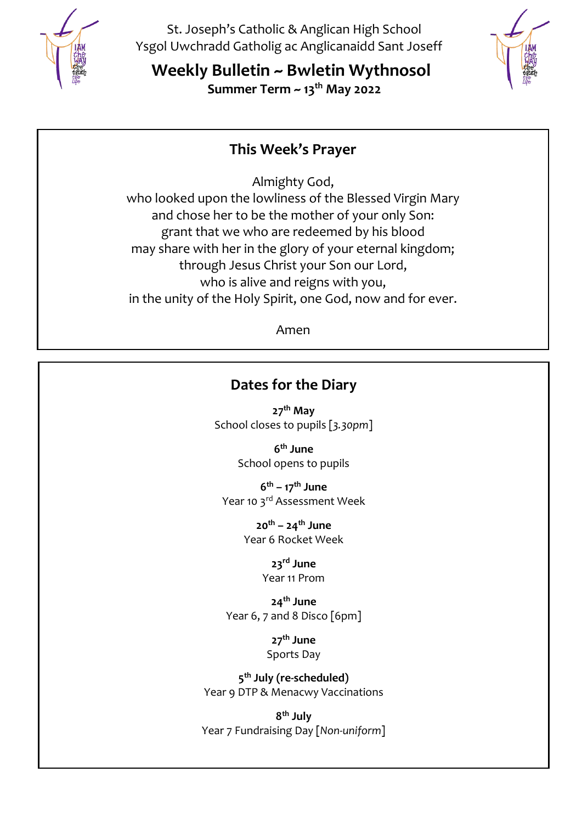

St. Joseph's Catholic & Anglican High School Ysgol Uwchradd Gatholig ac Anglicanaidd Sant Joseff

**Weekly Bulletin ~ Bwletin Wythnosol Summer Term ~ 13th May 2022**



## **This Week's Prayer**

Almighty God,

who looked upon the lowliness of the Blessed Virgin Mary and chose her to be the mother of your only Son: grant that we who are redeemed by his blood may share with her in the glory of your eternal kingdom; through Jesus Christ your Son our Lord, who is alive and reigns with you, in the unity of the Holy Spirit, one God, now and for ever.

Amen

# **Dates for the Diary**

**27th May** School closes to pupils [*3.30pm*]

> **6 th June** School opens to pupils

**6 th – 17th June** Year 10 3rd Assessment Week

> **20th – 24th June** Year 6 Rocket Week

> > **23rd June** Year 11 Prom

**24th June** Year 6, 7 and 8 Disco [6pm]

> **27th June** Sports Day

**5 th July (re-scheduled)** Year 9 DTP & Menacwy Vaccinations

**8 th July** Year 7 Fundraising Day [*Non-uniform*]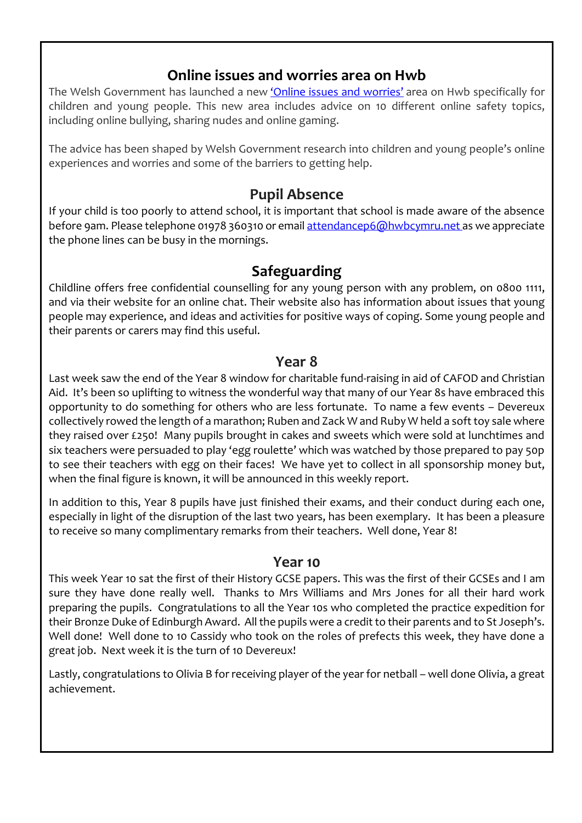## **Online issues and worries area on Hwb**

The Welsh Government has launched a new 'Online issues and [worries](https://eur02.safelinks.protection.outlook.com/?url=https%3A%2F%2Fhwb.gov.wales%2Fzones%2Fkeeping-safe-online%2Fadvice-for-children-and-young-people-online-issues-and-worries%2F&data=05%7C01%7CJoanne.Ford%40st-joseph.wrexham.sch.uk%7Cb25c4ef9c321487f4c7f08da3a56f609%7C4f3f0e52b734416494091b601d147993%7C0%7C0%7C637886443591567538%7CUnknown%7CTWFpbGZsb3d8eyJWIjoiMC4wLjAwMDAiLCJQIjoiV2luMzIiLCJBTiI6Ik1haWwiLCJXVCI6Mn0%3D%7C3000%7C%7C%7C&sdata=p2E%2FLmO7NCy%2FGC5y19bSU%2B5dI8jNYa47xBO%2BK5brhJs%3D&reserved=0)' area on Hwb specifically for children and young people. This new area includes advice on 10 different online safety topics, including online bullying, sharing nudes and online gaming.

The advice has been shaped by Welsh Government research into children and young people's online experiences and worries and some of the barriers to getting help.

## **Pupil Absence**

If your child is too poorly to attend school, it is important that school is made aware of the absence before 9am. Please telephone 01978 360310 or email [attendancep6@hwbcymru.net](mailto:attendancep6@hwbcymru.net) as we appreciate the phone lines can be busy in the mornings.

## **Safeguarding**

Childline offers free confidential counselling for any young person with any problem, on 0800 1111, and via their website for an online chat. Their website also has information about issues that young people may experience, and ideas and activities for positive ways of coping. Some young people and their parents or carers may find this useful.

## **Year 8**

Last week saw the end of the Year 8 window for charitable fund-raising in aid of CAFOD and Christian Aid. It's been so uplifting to witness the wonderful way that many of our Year 8s have embraced this opportunity to do something for others who are less fortunate. To name a few events – Devereux collectively rowed the length of a marathon; Ruben and Zack W and Ruby W held a soft toy sale where they raised over £250! Many pupils brought in cakes and sweets which were sold at lunchtimes and six teachers were persuaded to play 'egg roulette' which was watched by those prepared to pay 50p to see their teachers with egg on their faces! We have yet to collect in all sponsorship money but, when the final figure is known, it will be announced in this weekly report.

In addition to this, Year 8 pupils have just finished their exams, and their conduct during each one, especially in light of the disruption of the last two years, has been exemplary. It has been a pleasure to receive so many complimentary remarks from their teachers. Well done, Year 8!

### **Year 10**

This week Year 10 sat the first of their History GCSE papers. This was the first of their GCSEs and I am sure they have done really well. Thanks to Mrs Williams and Mrs Jones for all their hard work preparing the pupils. Congratulations to all the Year 10s who completed the practice expedition for their Bronze Duke of Edinburgh Award. All the pupils were a credit to their parents and to St Joseph's. Well done! Well done to 10 Cassidy who took on the roles of prefects this week, they have done a great job. Next week it is the turn of 10 Devereux!

Lastly, congratulations to Olivia B for receiving player of the year for netball – well done Olivia, a great achievement.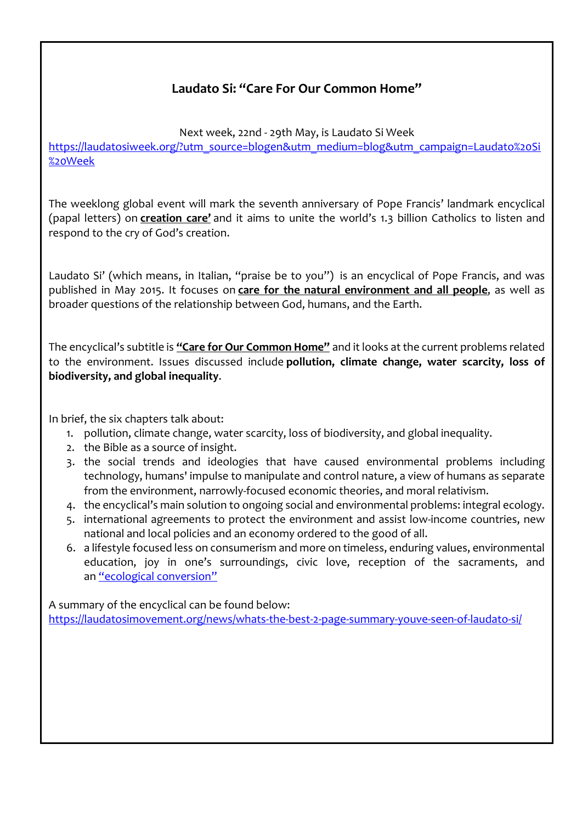## **Laudato Si: "Care For Our Common Home"**

Next week, 22nd - 29th May, is Laudato Si Week [https://laudatosiweek.org/?utm\\_source=blogen&utm\\_medium=blog&utm\\_campaign=Laudato%20Si](https://eur02.safelinks.protection.outlook.com/?url=https%3A%2F%2Flaudatosiweek.org%2F%3Futm_source%3Dblogen%26utm_medium%3Dblog%26utm_campaign%3DLaudato%2520Si%2520Week&data=05%7C01%7Cmailbox%40st-joseph.wrexham.sch.uk%7C10a122a59c774bae33cd08da38e4d19b%7C4f3f0e52b734416494091b601d147993%7C0%7C1%7C637884852668848608%7CUnknown%7CTWFpbGZsb3d8eyJWIjoiMC4wLjAwMDAiLCJQIjoiV2luMzIiLCJBTiI6Ik1haWwiLCJXVCI6Mn0%3D%7C3000%7C%7C%7C&sdata=siIBpRbOUHzsN%2BHh7qodpozzif3QVmiplv%2FVD7dCGwA%3D&reserved=0) [%20Week](https://eur02.safelinks.protection.outlook.com/?url=https%3A%2F%2Flaudatosiweek.org%2F%3Futm_source%3Dblogen%26utm_medium%3Dblog%26utm_campaign%3DLaudato%2520Si%2520Week&data=05%7C01%7Cmailbox%40st-joseph.wrexham.sch.uk%7C10a122a59c774bae33cd08da38e4d19b%7C4f3f0e52b734416494091b601d147993%7C0%7C1%7C637884852668848608%7CUnknown%7CTWFpbGZsb3d8eyJWIjoiMC4wLjAwMDAiLCJQIjoiV2luMzIiLCJBTiI6Ik1haWwiLCJXVCI6Mn0%3D%7C3000%7C%7C%7C&sdata=siIBpRbOUHzsN%2BHh7qodpozzif3QVmiplv%2FVD7dCGwA%3D&reserved=0)

The weeklong global event will mark the seventh anniversary of Pope Francis' landmark encyclical (papal letters) on **creation care'** and it aims to unite the world's 1.3 billion Catholics to listen and respond to the cry of God's creation.

Laudato Si' (which means, in Italian, "praise be to you") is an encyclical of Pope Francis, and was published in May 2015. It focuses on **care for the natural environment and all people**, as well as broader questions of the relationship between God, humans, and the Earth.

The encyclical's subtitle is **"Care for Our Common Home"** and it looks at the current problems related to the environment. Issues discussed include **pollution, climate change, water scarcity, loss of biodiversity, and global inequality**.

In brief, the six chapters talk about:

- 1. pollution, climate change, water scarcity, loss of biodiversity, and global inequality.
- 2. the Bible as a source of insight.
- 3. the social trends and ideologies that have caused environmental problems including technology, humans' impulse to manipulate and control nature, a view of humans as separate from the environment, narrowly-focused economic theories, and moral relativism.
- 4. the encyclical's main solution to ongoing social and environmental problems: integral ecology.
- 5. international agreements to protect the environment and assist low-income countries, new national and local policies and an economy ordered to the good of all.
- 6. a lifestyle focused less on consumerism and more on timeless, enduring values, environmental education, joy in one's surroundings, civic love, reception of the sacraments, and an "ecological [conversion"](https://eur02.safelinks.protection.outlook.com/?url=https%3A%2F%2Flaudatosimovement.org%2F2021%2F06%2F24%2Fwhat-is-an-ecological-conversion-en-news%2F&data=05%7C01%7Cmailbox%40st-joseph.wrexham.sch.uk%7C10a122a59c774bae33cd08da38e4d19b%7C4f3f0e52b734416494091b601d147993%7C0%7C1%7C637884852668848608%7CUnknown%7CTWFpbGZsb3d8eyJWIjoiMC4wLjAwMDAiLCJQIjoiV2luMzIiLCJBTiI6Ik1haWwiLCJXVCI6Mn0%3D%7C3000%7C%7C%7C&sdata=RhWd6Fa7xu3PLSetecSJkS0i9%2BMSxdj%2FSzoGN7lNWaY%3D&reserved=0)

A summary of the encyclical can be found below: [https://laudatosimovement.org/news/whats-the-best-2-page-summary-youve-seen-of-laudato-si/](https://eur02.safelinks.protection.outlook.com/?url=https%3A%2F%2Flaudatosimovement.org%2Fnews%2Fwhats-the-best-2-page-summary-youve-seen-of-laudato-si%2F&data=05%7C01%7Cmailbox%40st-joseph.wrexham.sch.uk%7C10a122a59c774bae33cd08da38e4d19b%7C4f3f0e52b734416494091b601d147993%7C0%7C1%7C637884852668848608%7CUnknown%7CTWFpbGZsb3d8eyJWIjoiMC4wLjAwMDAiLCJQIjoiV2luMzIiLCJBTiI6Ik1haWwiLCJXVCI6Mn0%3D%7C3000%7C%7C%7C&sdata=A8easWp%2FG0RDIBcLsxwhXVOZpturKE8i5K6jHIFAMkw%3D&reserved=0)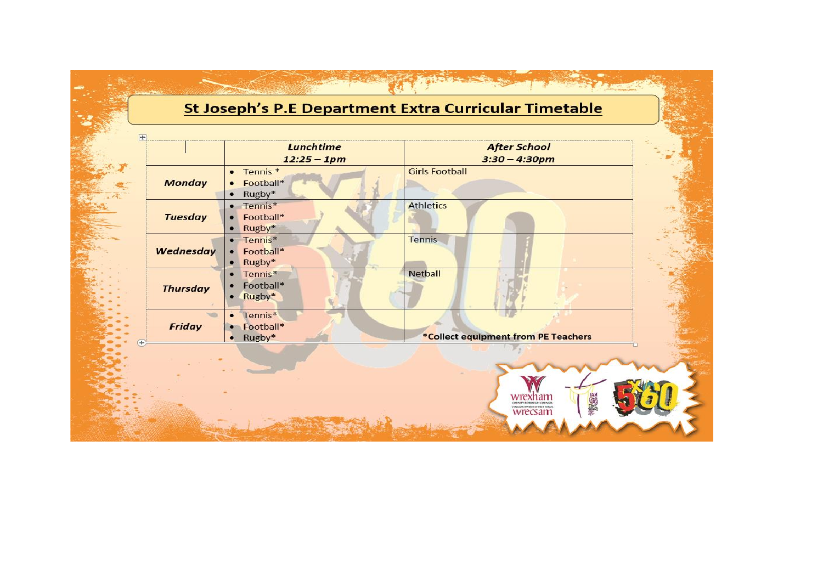# St Joseph's P.E Department Extra Curricular Timetable

 $\mathbb{R}^n$ 

|                       |                 | Lunchtime<br>$12:25 - 1pm$                                      | <b>After School</b><br>$3:30 - 4:30pm$   |  |
|-----------------------|-----------------|-----------------------------------------------------------------|------------------------------------------|--|
| $\boldsymbol{J}$<br>寒 | <b>Monday</b>   | $•$ Tennis $*$<br>Football*<br>$\bullet$<br>Rugby*<br>$\bullet$ | <b>Girls Football</b>                    |  |
|                       | <b>Tuesday</b>  | • Tennis*<br>• Football*<br>$\bullet$ Rugby*                    | <b>Athletics</b>                         |  |
|                       | Wednesday       | $•$ Tennis $*$<br>• Football*<br>$\bullet$ Rugby*               | <b>Tennis</b>                            |  |
|                       | <b>Thursday</b> | $•$ Tennis $*$<br>Football*<br>$\bullet$<br>• Rugby*            | <b>Netball</b>                           |  |
| $(+)$                 | <b>Friday</b>   | $\bullet$ Tennis*<br>• Football*<br>Rugby*<br>$\bullet$         | *Collect equipment from PE Teachers      |  |
|                       |                 |                                                                 |                                          |  |
|                       |                 |                                                                 | 電線線<br>COUNTY BOROUGH COUNCIL<br>wrecsam |  |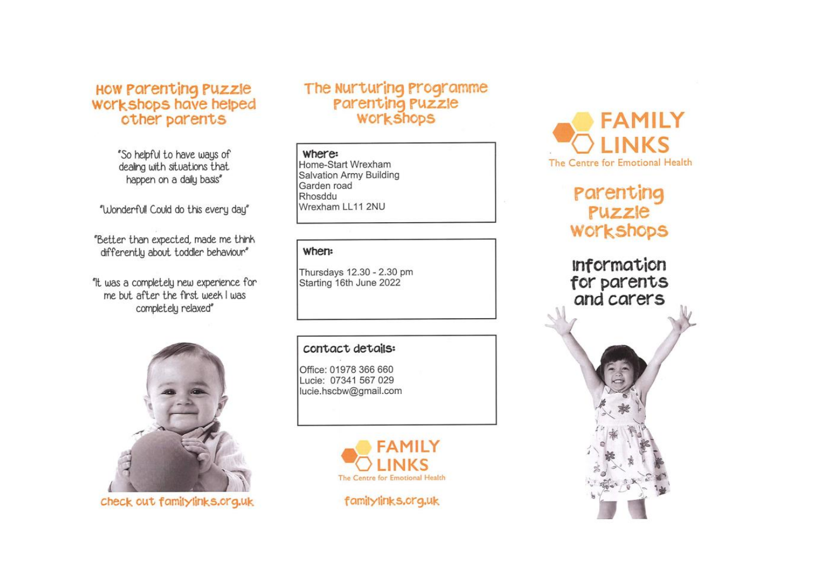# How Parenting Puzzle<br>Workshops have helped other parents

"So helpful to have ways of dealing with situations that happen on a daily basis"

"Wonderfull Could do this every day"

"Better than expected, made me think differently about toddler behaviour"

"It was a completely new experience for me but after the first week I was completely relaxed"



check out familylinks.org.uk

## The Nurturing Programme **Parenting Puzzle WOLKSHODS**

#### where:

Home-Start Wrexham Salvation Army Building Garden road Rhosddu Wrexham LL11 2NU

### when:

Thursdays 12.30 - 2.30 pm Starting 16th June 2022

#### contact details:

Office: 01978 366 660 Lucie: 07341 567 029 lucie.hscbw@gmail.com







## Parenting Puzzle **WOLKSHODS**

**Information** for parents and carers